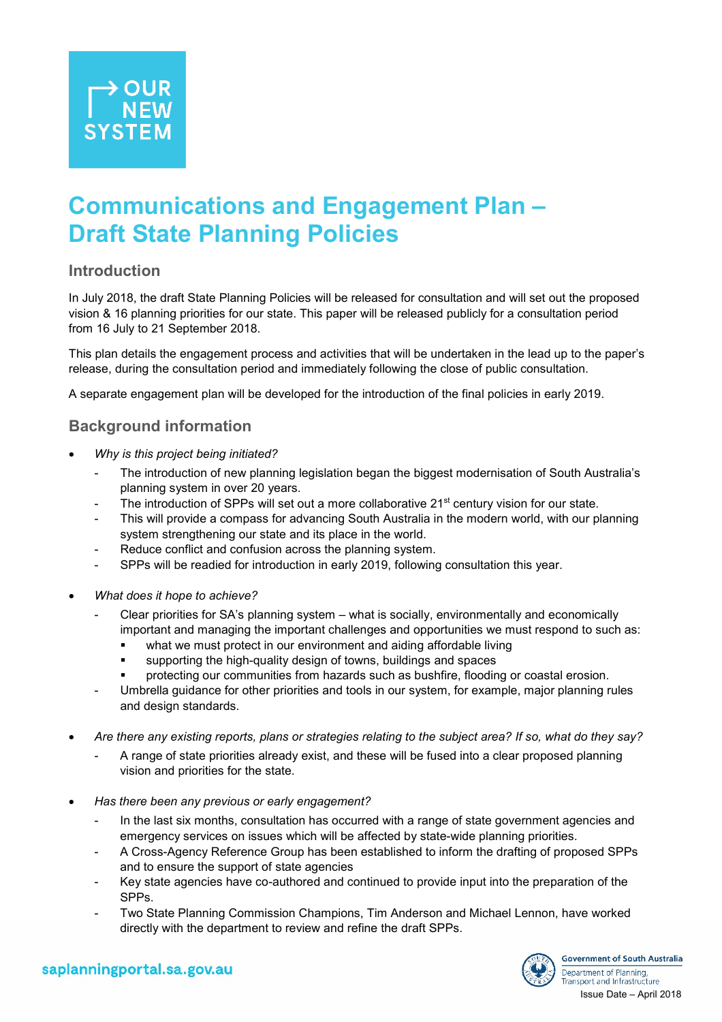# **Communications and Engagement Plan – Draft State Planning Policies**

### **Introduction**

In July 2018, the draft State Planning Policies will be released for consultation and will set out the proposed vision & 16 planning priorities for our state. This paper will be released publicly for a consultation period from 16 July to 21 September 2018.

This plan details the engagement process and activities that will be undertaken in the lead up to the paper's release, during the consultation period and immediately following the close of public consultation.

A separate engagement plan will be developed for the introduction of the final policies in early 2019.

### **Background information**

- *Why is this project being initiated?*
	- The introduction of new planning legislation began the biggest modernisation of South Australia's planning system in over 20 years.
	- The introduction of SPPs will set out a more collaborative 21<sup>st</sup> century vision for our state.
	- This will provide a compass for advancing South Australia in the modern world, with our planning system strengthening our state and its place in the world.
	- Reduce conflict and confusion across the planning system.
	- SPPs will be readied for introduction in early 2019, following consultation this year.
- *What does it hope to achieve?*
	- Clear priorities for SA's planning system what is socially, environmentally and economically important and managing the important challenges and opportunities we must respond to such as:
		- what we must protect in our environment and aiding affordable living
		- supporting the high-quality design of towns, buildings and spaces
		- protecting our communities from hazards such as bushfire, flooding or coastal erosion.
	- Umbrella guidance for other priorities and tools in our system, for example, major planning rules and design standards.
- *Are there any existing reports, plans or strategies relating to the subject area? If so, what do they say?*
	- A range of state priorities already exist, and these will be fused into a clear proposed planning vision and priorities for the state.
- *Has there been any previous or early engagement?*
	- In the last six months, consultation has occurred with a range of state government agencies and emergency services on issues which will be affected by state-wide planning priorities.
	- A Cross-Agency Reference Group has been established to inform the drafting of proposed SPPs and to ensure the support of state agencies
	- Key state agencies have co-authored and continued to provide input into the preparation of the SPPs.
	- Two State Planning Commission Champions, Tim Anderson and Michael Lennon, have worked directly with the department to review and refine the draft SPPs.



saplanningportal.sa.gov.au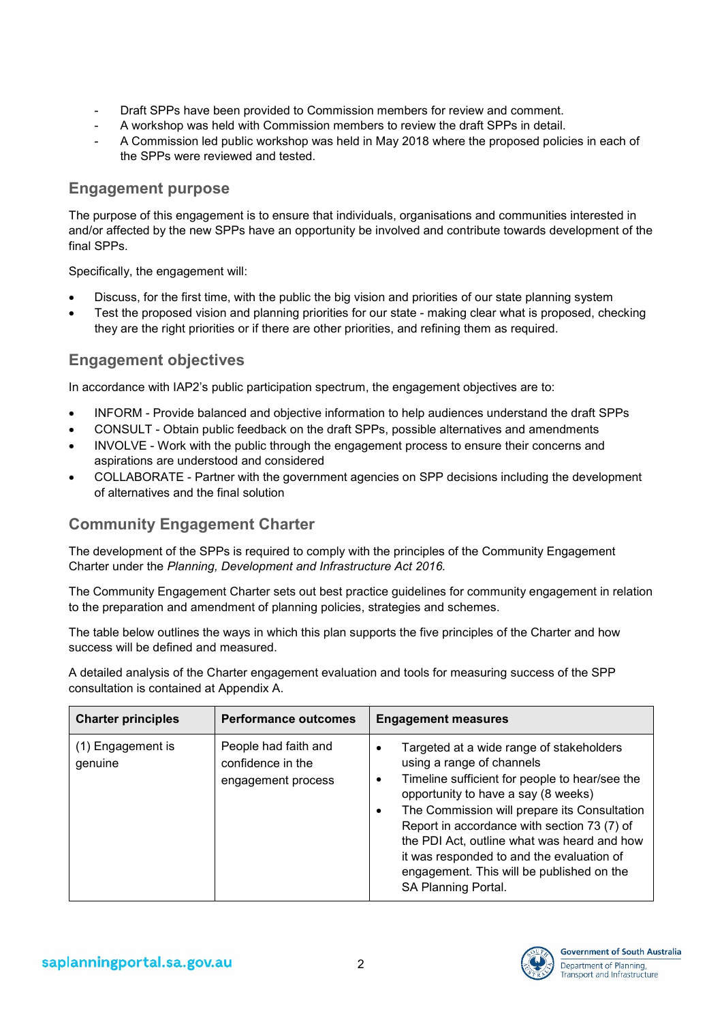- Draft SPPs have been provided to Commission members for review and comment.
- A workshop was held with Commission members to review the draft SPPs in detail.
- A Commission led public workshop was held in May 2018 where the proposed policies in each of the SPPs were reviewed and tested.

#### **Engagement purpose**

The purpose of this engagement is to ensure that individuals, organisations and communities interested in and/or affected by the new SPPs have an opportunity be involved and contribute towards development of the final SPPs.

Specifically, the engagement will:

- Discuss, for the first time, with the public the big vision and priorities of our state planning system
- Test the proposed vision and planning priorities for our state making clear what is proposed, checking they are the right priorities or if there are other priorities, and refining them as required.

#### **Engagement objectives**

In accordance with IAP2's public participation spectrum, the engagement objectives are to:

- INFORM Provide balanced and objective information to help audiences understand the draft SPPs
- CONSULT Obtain public feedback on the draft SPPs, possible alternatives and amendments
- INVOLVE Work with the public through the engagement process to ensure their concerns and aspirations are understood and considered
- COLLABORATE Partner with the government agencies on SPP decisions including the development of alternatives and the final solution

### **Community Engagement Charter**

The development of the SPPs is required to comply with the principles of the Community Engagement Charter under the *Planning, Development and Infrastructure Act 2016.*

The Community Engagement Charter sets out best practice guidelines for community engagement in relation to the preparation and amendment of planning policies, strategies and schemes.

The table below outlines the ways in which this plan supports the five principles of the Charter and how success will be defined and measured.

A detailed analysis of the Charter engagement evaluation and tools for measuring success of the SPP consultation is contained at Appendix A.

| <b>Charter principles</b>    | <b>Performance outcomes</b>                                     | <b>Engagement measures</b>                                                                                                                                                                                                                                                                                                                                                                                                                                   |
|------------------------------|-----------------------------------------------------------------|--------------------------------------------------------------------------------------------------------------------------------------------------------------------------------------------------------------------------------------------------------------------------------------------------------------------------------------------------------------------------------------------------------------------------------------------------------------|
| (1) Engagement is<br>genuine | People had faith and<br>confidence in the<br>engagement process | Targeted at a wide range of stakeholders<br>٠<br>using a range of channels<br>Timeline sufficient for people to hear/see the<br>$\bullet$<br>opportunity to have a say (8 weeks)<br>The Commission will prepare its Consultation<br>$\bullet$<br>Report in accordance with section 73 (7) of<br>the PDI Act, outline what was heard and how<br>it was responded to and the evaluation of<br>engagement. This will be published on the<br>SA Planning Portal. |

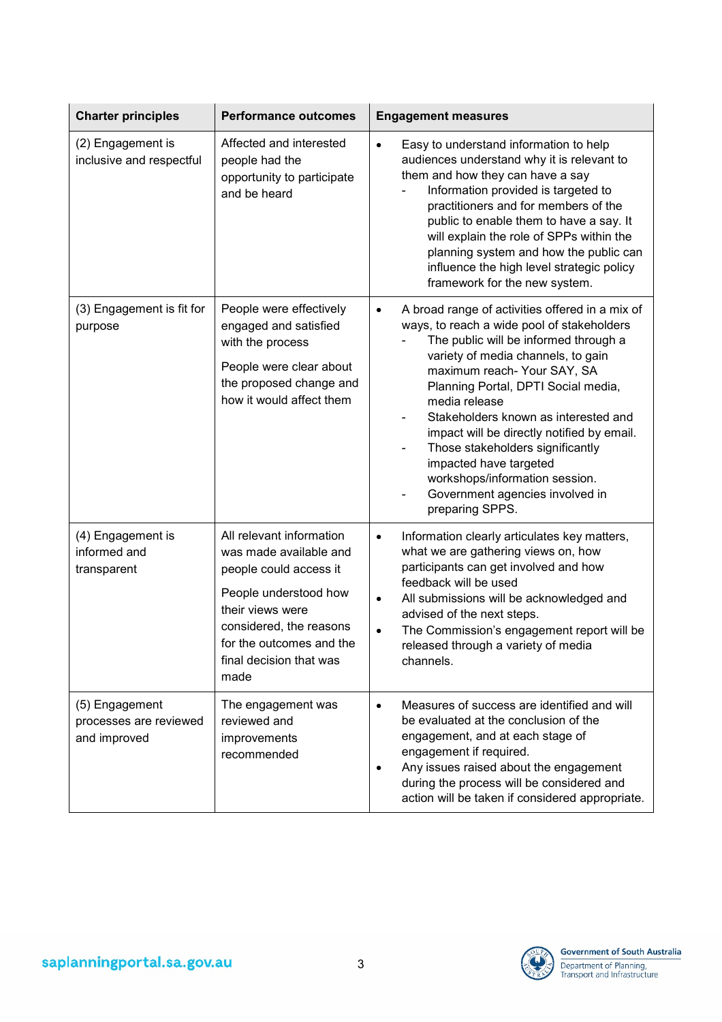| <b>Charter principles</b>                                | <b>Performance outcomes</b>                                                                                                                                                                                         | <b>Engagement measures</b>                                                                                                                                                                                                                                                                                                                                                                                                                                                                                                   |
|----------------------------------------------------------|---------------------------------------------------------------------------------------------------------------------------------------------------------------------------------------------------------------------|------------------------------------------------------------------------------------------------------------------------------------------------------------------------------------------------------------------------------------------------------------------------------------------------------------------------------------------------------------------------------------------------------------------------------------------------------------------------------------------------------------------------------|
| (2) Engagement is<br>inclusive and respectful            | Affected and interested<br>people had the<br>opportunity to participate<br>and be heard                                                                                                                             | Easy to understand information to help<br>$\bullet$<br>audiences understand why it is relevant to<br>them and how they can have a say<br>Information provided is targeted to<br>practitioners and for members of the<br>public to enable them to have a say. It<br>will explain the role of SPPs within the<br>planning system and how the public can<br>influence the high level strategic policy<br>framework for the new system.                                                                                          |
| (3) Engagement is fit for<br>purpose                     | People were effectively<br>engaged and satisfied<br>with the process<br>People were clear about<br>the proposed change and<br>how it would affect them                                                              | A broad range of activities offered in a mix of<br>$\bullet$<br>ways, to reach a wide pool of stakeholders<br>The public will be informed through a<br>variety of media channels, to gain<br>maximum reach- Your SAY, SA<br>Planning Portal, DPTI Social media,<br>media release<br>Stakeholders known as interested and<br>impact will be directly notified by email.<br>Those stakeholders significantly<br>impacted have targeted<br>workshops/information session.<br>Government agencies involved in<br>preparing SPPS. |
| (4) Engagement is<br>informed and<br>transparent         | All relevant information<br>was made available and<br>people could access it<br>People understood how<br>their views were<br>considered, the reasons<br>for the outcomes and the<br>final decision that was<br>made | Information clearly articulates key matters,<br>$\bullet$<br>what we are gathering views on, how<br>participants can get involved and how<br>feedback will be used<br>All submissions will be acknowledged and<br>$\bullet$<br>advised of the next steps.<br>The Commission's engagement report will be<br>$\bullet$<br>released through a variety of media<br>channels.                                                                                                                                                     |
| (5) Engagement<br>processes are reviewed<br>and improved | The engagement was<br>reviewed and<br>improvements<br>recommended                                                                                                                                                   | Measures of success are identified and will<br>$\bullet$<br>be evaluated at the conclusion of the<br>engagement, and at each stage of<br>engagement if required.<br>Any issues raised about the engagement<br>$\bullet$<br>during the process will be considered and<br>action will be taken if considered appropriate.                                                                                                                                                                                                      |

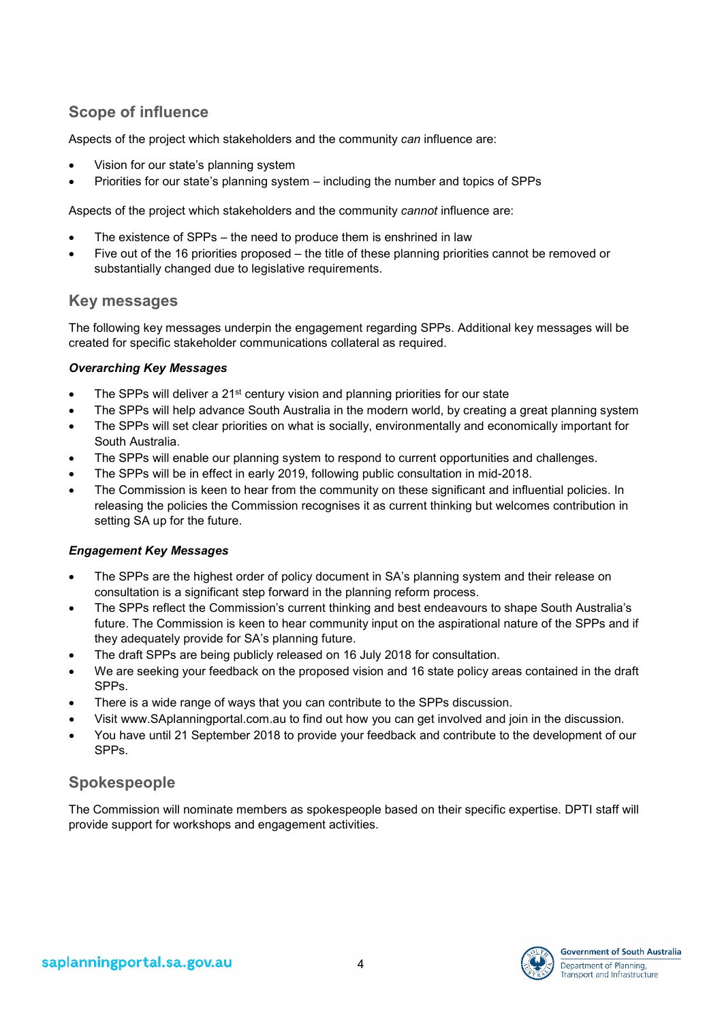# **Scope of influence**

Aspects of the project which stakeholders and the community *can* influence are:

- Vision for our state's planning system
- Priorities for our state's planning system including the number and topics of SPPs

Aspects of the project which stakeholders and the community *cannot* influence are:

- The existence of SPPs the need to produce them is enshrined in law
- Five out of the 16 priorities proposed the title of these planning priorities cannot be removed or substantially changed due to legislative requirements.

### **Key messages**

The following key messages underpin the engagement regarding SPPs. Additional key messages will be created for specific stakeholder communications collateral as required.

#### *Overarching Key Messages*

- The SPPs will deliver a 21<sup>st</sup> century vision and planning priorities for our state
- The SPPs will help advance South Australia in the modern world, by creating a great planning system
- The SPPs will set clear priorities on what is socially, environmentally and economically important for South Australia.
- The SPPs will enable our planning system to respond to current opportunities and challenges.
- The SPPs will be in effect in early 2019, following public consultation in mid-2018.
- The Commission is keen to hear from the community on these significant and influential policies. In releasing the policies the Commission recognises it as current thinking but welcomes contribution in setting SA up for the future.

#### *Engagement Key Messages*

- The SPPs are the highest order of policy document in SA's planning system and their release on consultation is a significant step forward in the planning reform process.
- The SPPs reflect the Commission's current thinking and best endeavours to shape South Australia's future. The Commission is keen to hear community input on the aspirational nature of the SPPs and if they adequately provide for SA's planning future.
- The draft SPPs are being publicly released on 16 July 2018 for consultation.
- We are seeking your feedback on the proposed vision and 16 state policy areas contained in the draft SPPs.
- There is a wide range of ways that you can contribute to the SPPs discussion.
- Visit www.SAplanningportal.com.au to find out how you can get involved and join in the discussion.
- You have until 21 September 2018 to provide your feedback and contribute to the development of our SPPs.

# **Spokespeople**

The Commission will nominate members as spokespeople based on their specific expertise. DPTI staff will provide support for workshops and engagement activities.

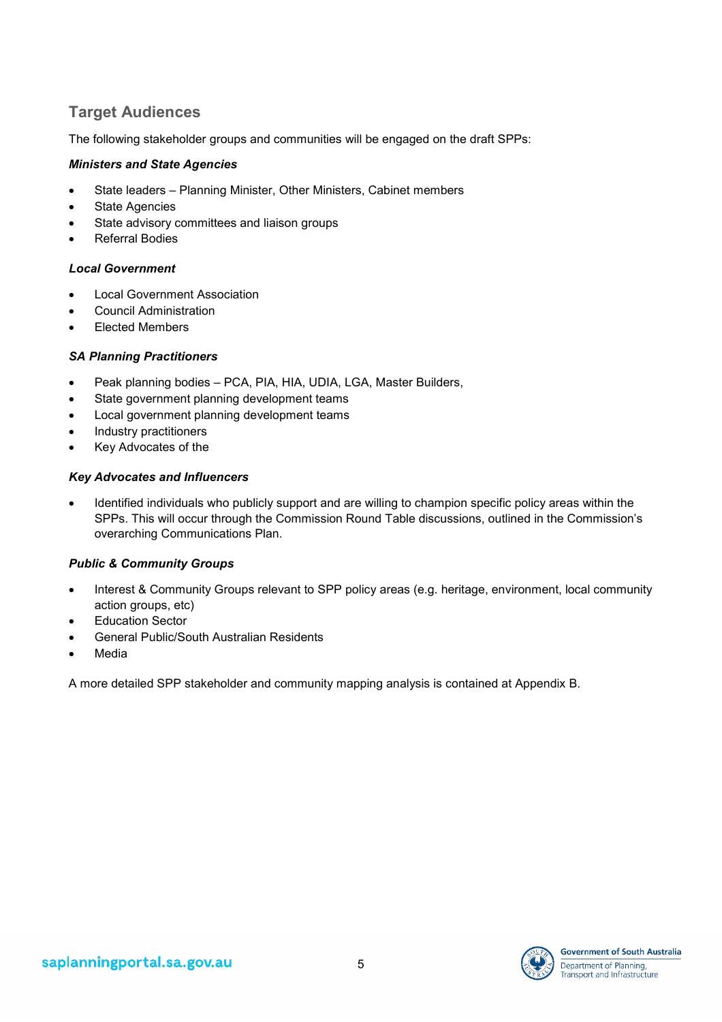## **Target Audiences**

The following stakeholder groups and communities will be engaged on the draft SPPs:

#### *Ministers and State Agencies*

- State leaders Planning Minister, Other Ministers, Cabinet members
- State Agencies
- State advisory committees and liaison groups
- Referral Bodies

#### *Local Government*

- Local Government Association
- Council Administration
- Elected Members

#### *SA Planning Practitioners*

- Peak planning bodies PCA, PIA, HIA, UDIA, LGA, Master Builders,
- State government planning development teams
- Local government planning development teams
- Industry practitioners
- Key Advocates of the

#### *Key Advocates and Influencers*

• Identified individuals who publicly support and are willing to champion specific policy areas within the SPPs. This will occur through the Commission Round Table discussions, outlined in the Commission's overarching Communications Plan.

#### *Public & Community Groups*

- Interest & Community Groups relevant to SPP policy areas (e.g. heritage, environment, local community action groups, etc)
- **Education Sector**
- General Public/South Australian Residents
- **Media**

A more detailed SPP stakeholder and community mapping analysis is contained at Appendix B.

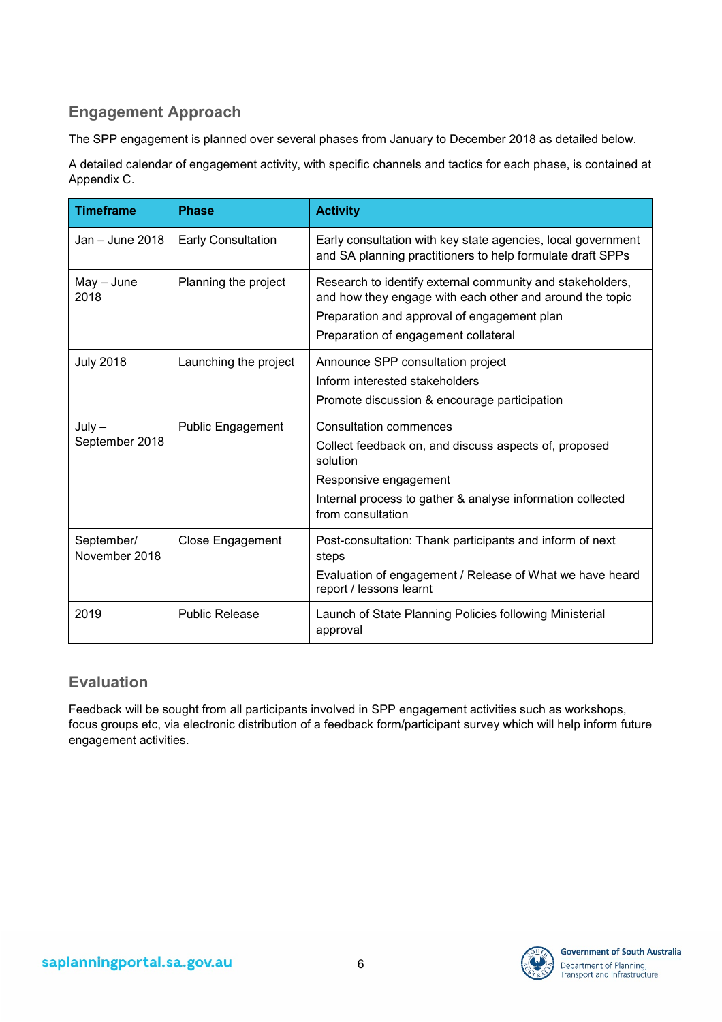# **Engagement Approach**

The SPP engagement is planned over several phases from January to December 2018 as detailed below.

A detailed calendar of engagement activity, with specific channels and tactics for each phase, is contained at Appendix C.

| <b>Timeframe</b>            | <b>Phase</b>              | <b>Activity</b>                                                                                                                                                                                              |
|-----------------------------|---------------------------|--------------------------------------------------------------------------------------------------------------------------------------------------------------------------------------------------------------|
| Jan $-$ June 2018           | <b>Early Consultation</b> | Early consultation with key state agencies, local government<br>and SA planning practitioners to help formulate draft SPPs                                                                                   |
| $May - June$<br>2018        | Planning the project      | Research to identify external community and stakeholders,<br>and how they engage with each other and around the topic<br>Preparation and approval of engagement plan<br>Preparation of engagement collateral |
| <b>July 2018</b>            | Launching the project     | Announce SPP consultation project<br>Inform interested stakeholders                                                                                                                                          |
|                             |                           | Promote discussion & encourage participation                                                                                                                                                                 |
| $July -$<br>September 2018  | <b>Public Engagement</b>  | <b>Consultation commences</b><br>Collect feedback on, and discuss aspects of, proposed<br>solution                                                                                                           |
|                             |                           | Responsive engagement                                                                                                                                                                                        |
|                             |                           | Internal process to gather & analyse information collected<br>from consultation                                                                                                                              |
| September/<br>November 2018 | Close Engagement          | Post-consultation: Thank participants and inform of next<br>steps                                                                                                                                            |
|                             |                           | Evaluation of engagement / Release of What we have heard<br>report / lessons learnt                                                                                                                          |
| 2019                        | <b>Public Release</b>     | Launch of State Planning Policies following Ministerial<br>approval                                                                                                                                          |

### **Evaluation**

Feedback will be sought from all participants involved in SPP engagement activities such as workshops, focus groups etc, via electronic distribution of a feedback form/participant survey which will help inform future engagement activities.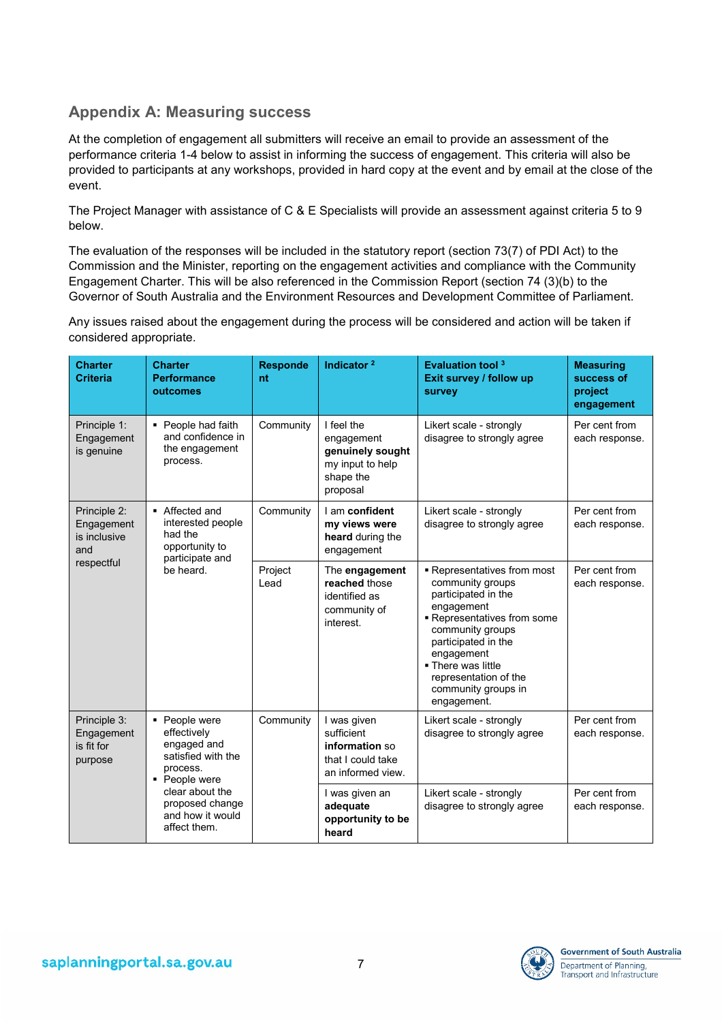### **Appendix A: Measuring success**

At the completion of engagement all submitters will receive an email to provide an assessment of the performance criteria 1-4 below to assist in informing the success of engagement. This criteria will also be provided to participants at any workshops, provided in hard copy at the event and by email at the close of the event.

The Project Manager with assistance of C & E Specialists will provide an assessment against criteria 5 to 9 below.

The evaluation of the responses will be included in the statutory report (section 73(7) of PDI Act) to the Commission and the Minister, reporting on the engagement activities and compliance with the Community Engagement Charter. This will be also referenced in the Commission Report (section 74 (3)(b) to the Governor of South Australia and the Environment Resources and Development Committee of Parliament.

Any issues raised about the engagement during the process will be considered and action will be taken if considered appropriate.

| <b>Charter</b><br><b>Criteria</b>                                                                                                                     | <b>Charter</b><br><b>Performance</b><br>outcomes                                    | <b>Responde</b><br>nt | Indicator <sup>2</sup>                                                                    | <b>Evaluation tool 3</b><br>Exit survey / follow up<br>survey                                                                                                                                                                                                   | <b>Measuring</b><br>success of<br>project<br>engagement |
|-------------------------------------------------------------------------------------------------------------------------------------------------------|-------------------------------------------------------------------------------------|-----------------------|-------------------------------------------------------------------------------------------|-----------------------------------------------------------------------------------------------------------------------------------------------------------------------------------------------------------------------------------------------------------------|---------------------------------------------------------|
| Principle 1:<br>Engagement<br>is genuine                                                                                                              | • People had faith<br>and confidence in<br>the engagement<br>process.               | Community             | I feel the<br>engagement<br>genuinely sought<br>my input to help<br>shape the<br>proposal | Likert scale - strongly<br>disagree to strongly agree                                                                                                                                                                                                           | Per cent from<br>each response.                         |
| Principle 2:<br>Engagement<br>is inclusive<br>and                                                                                                     | ■ Affected and<br>interested people<br>had the<br>opportunity to<br>participate and | Community             | I am confident<br>my views were<br>heard during the<br>engagement                         | Likert scale - strongly<br>disagree to strongly agree                                                                                                                                                                                                           | Per cent from<br>each response.                         |
| respectful                                                                                                                                            | be heard.                                                                           | Project<br>Lead       | The engagement<br>reached those<br>identified as<br>community of<br>interest.             | - Representatives from most<br>community groups<br>participated in the<br>engagement<br>Representatives from some<br>community groups<br>participated in the<br>engagement<br>. There was little<br>representation of the<br>community groups in<br>engagement. | Per cent from<br>each response.                         |
| Principle 3:<br>• People were<br>effectively<br>Engagement<br>engaged and<br>is fit for<br>satisfied with the<br>purpose<br>process.<br>• People were |                                                                                     | Community             | I was given<br>sufficient<br>information so<br>that I could take<br>an informed view.     | Likert scale - strongly<br>disagree to strongly agree                                                                                                                                                                                                           | Per cent from<br>each response.                         |
|                                                                                                                                                       | clear about the<br>proposed change<br>and how it would<br>affect them.              |                       | I was given an<br>adequate<br>opportunity to be<br>heard                                  | Likert scale - strongly<br>disagree to strongly agree                                                                                                                                                                                                           | Per cent from<br>each response.                         |

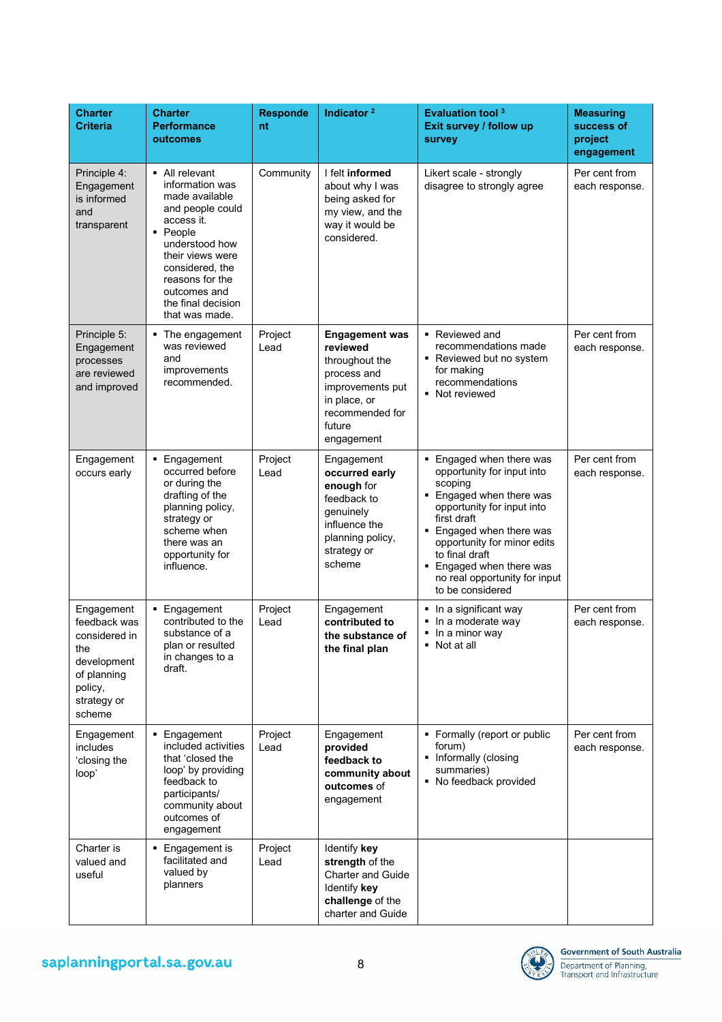| <b>Charter</b><br><b>Criteria</b>                                                                                    | <b>Charter</b><br><b>Performance</b><br>outcomes                                                                                                                                                                                      | <b>Responde</b><br>nt | Indicator <sup>2</sup>                                                                                                                            | <b>Evaluation tool 3</b><br>Exit survey / follow up<br>survey                                                                                                                                                                                                                                        | <b>Measuring</b><br>success of<br>project<br>engagement |
|----------------------------------------------------------------------------------------------------------------------|---------------------------------------------------------------------------------------------------------------------------------------------------------------------------------------------------------------------------------------|-----------------------|---------------------------------------------------------------------------------------------------------------------------------------------------|------------------------------------------------------------------------------------------------------------------------------------------------------------------------------------------------------------------------------------------------------------------------------------------------------|---------------------------------------------------------|
| Principle 4:<br>Engagement<br>is informed<br>and<br>transparent                                                      | • All relevant<br>information was<br>made available<br>and people could<br>access it.<br>• People<br>understood how<br>their views were<br>considered, the<br>reasons for the<br>outcomes and<br>the final decision<br>that was made. | Community             | I felt informed<br>about why I was<br>being asked for<br>my view, and the<br>way it would be<br>considered.                                       | Likert scale - strongly<br>disagree to strongly agree                                                                                                                                                                                                                                                | Per cent from<br>each response.                         |
| Principle 5:<br>Engagement<br>processes<br>are reviewed<br>and improved                                              | The engagement<br>٠<br>was reviewed<br>and<br>improvements<br>recommended.                                                                                                                                                            | Project<br>Lead       | <b>Engagement was</b><br>reviewed<br>throughout the<br>process and<br>improvements put<br>in place, or<br>recommended for<br>future<br>engagement | Reviewed and<br>recommendations made<br>• Reviewed but no system<br>for making<br>recommendations<br>• Not reviewed                                                                                                                                                                                  | Per cent from<br>each response.                         |
| Engagement<br>occurs early                                                                                           | • Engagement<br>occurred before<br>or during the<br>drafting of the<br>planning policy,<br>strategy or<br>scheme when<br>there was an<br>opportunity for<br>influence.                                                                | Project<br>Lead       | Engagement<br>occurred early<br>enough for<br>feedback to<br>genuinely<br>influence the<br>planning policy,<br>strategy or<br>scheme              | • Engaged when there was<br>opportunity for input into<br>scoping<br>■ Engaged when there was<br>opportunity for input into<br>first draft<br>Engaged when there was<br>opportunity for minor edits<br>to final draft<br>Engaged when there was<br>no real opportunity for input<br>to be considered | Per cent from<br>each response.                         |
| Engagement<br>feedback was<br>considered in<br>the<br>development<br>of planning<br>policy,<br>strategy or<br>scheme | • Engagement<br>contributed to the<br>substance of a<br>plan or resulted<br>in changes to a<br>draft.                                                                                                                                 | Project<br>Lead       | Engagement<br>contributed to<br>the substance of<br>the final plan                                                                                | In a significant way<br>In a moderate way<br>In a minor way<br>Not at all                                                                                                                                                                                                                            | Per cent from<br>each response.                         |
| Engagement<br>includes<br>'closing the<br>loop'                                                                      | • Engagement<br>included activities<br>that 'closed the<br>loop' by providing<br>feedback to<br>participants/<br>community about<br>outcomes of<br>engagement                                                                         | Project<br>Lead       | Engagement<br>provided<br>feedback to<br>community about<br>outcomes of<br>engagement                                                             | • Formally (report or public<br>forum)<br>• Informally (closing<br>summaries)<br>No feedback provided                                                                                                                                                                                                | Per cent from<br>each response.                         |
| Charter is<br>valued and<br>useful                                                                                   | • Engagement is<br>facilitated and<br>valued by<br>planners                                                                                                                                                                           | Project<br>Lead       | Identify key<br>strength of the<br><b>Charter and Guide</b><br>Identify key<br>challenge of the<br>charter and Guide                              |                                                                                                                                                                                                                                                                                                      |                                                         |

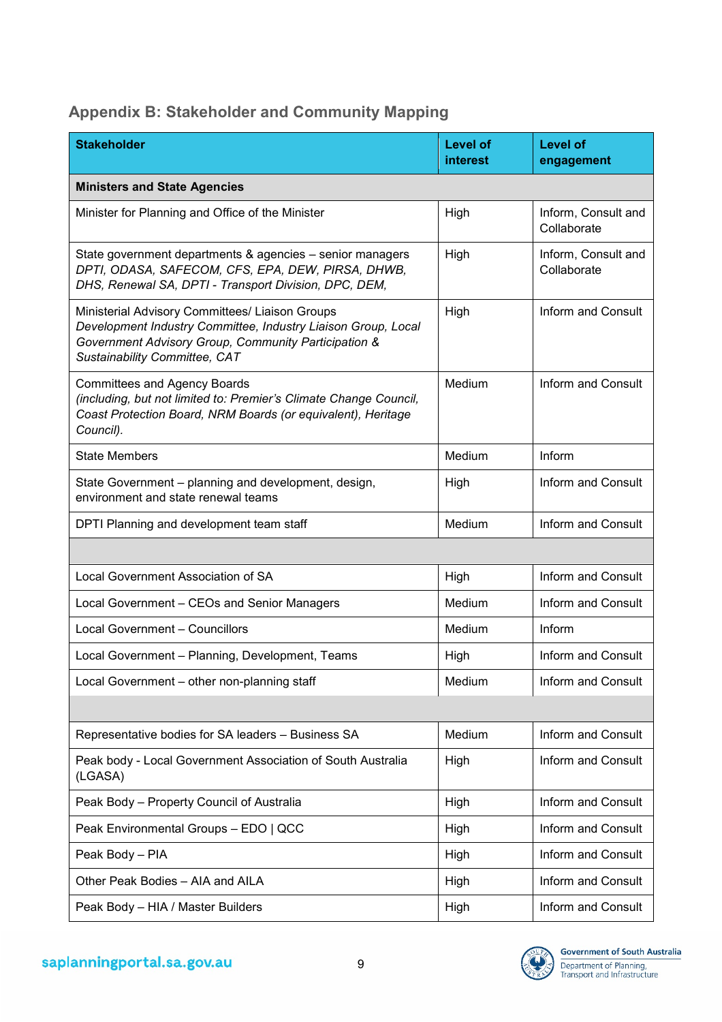# **Appendix B: Stakeholder and Community Mapping**

| <b>Stakeholder</b>                                                                                                                                                                                        | <b>Level of</b><br><b>interest</b> | Level of<br>engagement             |
|-----------------------------------------------------------------------------------------------------------------------------------------------------------------------------------------------------------|------------------------------------|------------------------------------|
| <b>Ministers and State Agencies</b>                                                                                                                                                                       |                                    |                                    |
| Minister for Planning and Office of the Minister                                                                                                                                                          | High                               | Inform, Consult and<br>Collaborate |
| State government departments & agencies - senior managers<br>DPTI, ODASA, SAFECOM, CFS, EPA, DEW, PIRSA, DHWB,<br>DHS, Renewal SA, DPTI - Transport Division, DPC, DEM,                                   | High                               | Inform, Consult and<br>Collaborate |
| Ministerial Advisory Committees/ Liaison Groups<br>Development Industry Committee, Industry Liaison Group, Local<br>Government Advisory Group, Community Participation &<br>Sustainability Committee, CAT | High                               | Inform and Consult                 |
| <b>Committees and Agency Boards</b><br>(including, but not limited to: Premier's Climate Change Council,<br>Coast Protection Board, NRM Boards (or equivalent), Heritage<br>Council).                     | Medium                             | Inform and Consult                 |
| <b>State Members</b>                                                                                                                                                                                      | Medium                             | Inform                             |
| State Government - planning and development, design,<br>environment and state renewal teams                                                                                                               | High                               | Inform and Consult                 |
| DPTI Planning and development team staff                                                                                                                                                                  | Medium                             | Inform and Consult                 |
|                                                                                                                                                                                                           |                                    |                                    |
| Local Government Association of SA                                                                                                                                                                        | High                               | Inform and Consult                 |
| Local Government - CEOs and Senior Managers                                                                                                                                                               | Medium                             | Inform and Consult                 |
| Local Government - Councillors                                                                                                                                                                            | Medium                             | Inform                             |
| Local Government - Planning, Development, Teams                                                                                                                                                           | High                               | Inform and Consult                 |
| Local Government - other non-planning staff                                                                                                                                                               | Medium                             | Inform and Consult                 |
|                                                                                                                                                                                                           |                                    |                                    |
| Representative bodies for SA leaders - Business SA                                                                                                                                                        | Medium                             | Inform and Consult                 |
| Peak body - Local Government Association of South Australia<br>(LGASA)                                                                                                                                    | High                               | Inform and Consult                 |
| Peak Body - Property Council of Australia                                                                                                                                                                 | High                               | Inform and Consult                 |
| Peak Environmental Groups - EDO   QCC                                                                                                                                                                     | High                               | Inform and Consult                 |
| Peak Body - PIA                                                                                                                                                                                           | High                               | Inform and Consult                 |
| Other Peak Bodies - AIA and AILA                                                                                                                                                                          | High                               | Inform and Consult                 |
| Peak Body - HIA / Master Builders                                                                                                                                                                         | High                               | Inform and Consult                 |

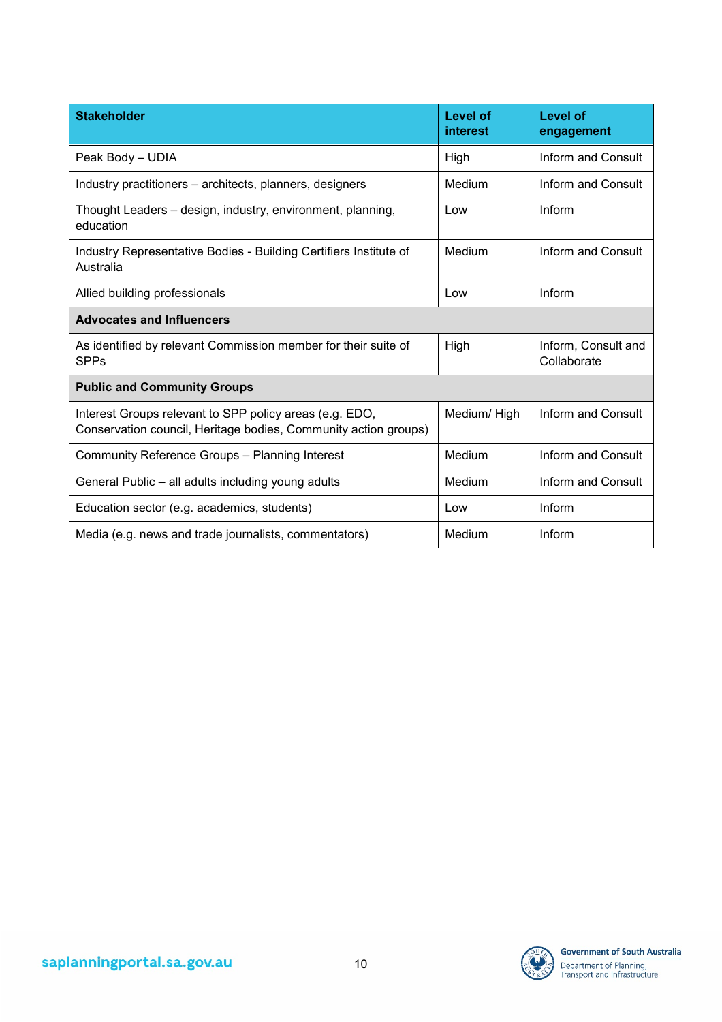| <b>Stakeholder</b>                                                                                                         | Level of<br>interest | Level of<br>engagement             |
|----------------------------------------------------------------------------------------------------------------------------|----------------------|------------------------------------|
| Peak Body - UDIA                                                                                                           | High                 | Inform and Consult                 |
| Industry practitioners – architects, planners, designers                                                                   | Medium               | Inform and Consult                 |
| Thought Leaders – design, industry, environment, planning,<br>education                                                    | Low                  | Inform                             |
| Industry Representative Bodies - Building Certifiers Institute of<br>Australia                                             | Medium               | Inform and Consult                 |
| Allied building professionals                                                                                              | Low                  | Inform                             |
| <b>Advocates and Influencers</b>                                                                                           |                      |                                    |
| As identified by relevant Commission member for their suite of<br><b>SPPs</b>                                              | High                 | Inform, Consult and<br>Collaborate |
| <b>Public and Community Groups</b>                                                                                         |                      |                                    |
| Interest Groups relevant to SPP policy areas (e.g. EDO,<br>Conservation council, Heritage bodies, Community action groups) | Medium/High          | Inform and Consult                 |
| Community Reference Groups - Planning Interest                                                                             | Medium               | Inform and Consult                 |
| General Public - all adults including young adults                                                                         | Medium               | Inform and Consult                 |
| Education sector (e.g. academics, students)                                                                                | Low                  | Inform                             |
| Media (e.g. news and trade journalists, commentators)                                                                      | Medium               | Inform                             |

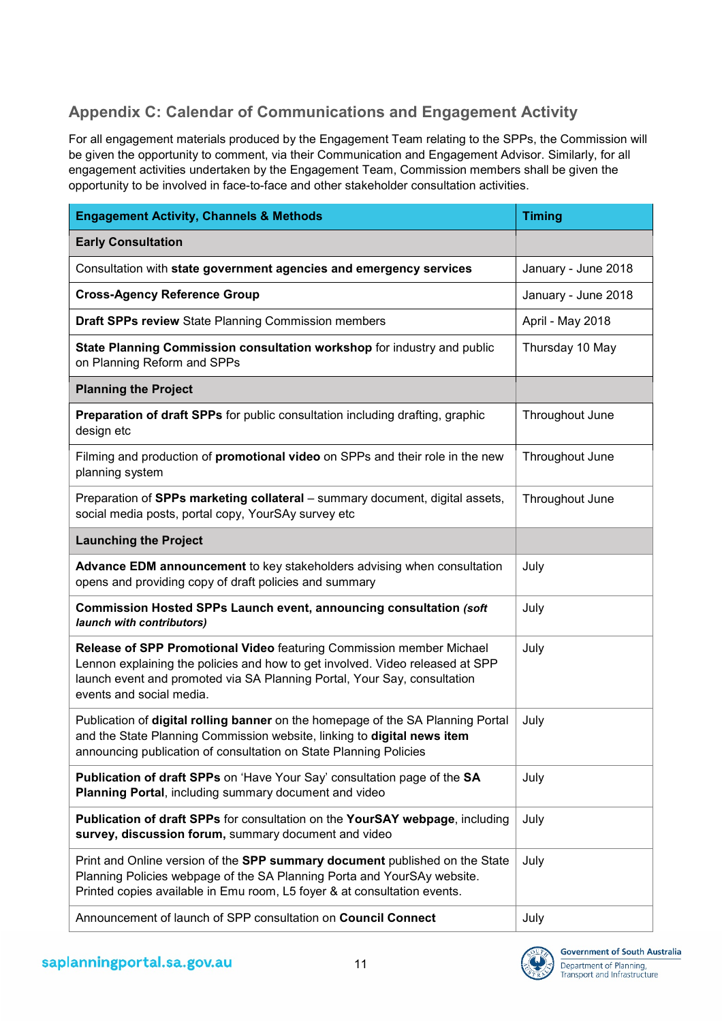# **Appendix C: Calendar of Communications and Engagement Activity**

For all engagement materials produced by the Engagement Team relating to the SPPs, the Commission will be given the opportunity to comment, via their Communication and Engagement Advisor. Similarly, for all engagement activities undertaken by the Engagement Team, Commission members shall be given the opportunity to be involved in face-to-face and other stakeholder consultation activities.

| <b>Engagement Activity, Channels &amp; Methods</b>                                                                                                                                                                                                            | <b>Timing</b>       |
|---------------------------------------------------------------------------------------------------------------------------------------------------------------------------------------------------------------------------------------------------------------|---------------------|
| <b>Early Consultation</b>                                                                                                                                                                                                                                     |                     |
| Consultation with state government agencies and emergency services                                                                                                                                                                                            | January - June 2018 |
| <b>Cross-Agency Reference Group</b>                                                                                                                                                                                                                           | January - June 2018 |
| Draft SPPs review State Planning Commission members                                                                                                                                                                                                           | April - May 2018    |
| State Planning Commission consultation workshop for industry and public<br>on Planning Reform and SPPs                                                                                                                                                        | Thursday 10 May     |
| <b>Planning the Project</b>                                                                                                                                                                                                                                   |                     |
| Preparation of draft SPPs for public consultation including drafting, graphic<br>design etc                                                                                                                                                                   | Throughout June     |
| Filming and production of <b>promotional video</b> on SPPs and their role in the new<br>planning system                                                                                                                                                       | Throughout June     |
| Preparation of SPPs marketing collateral - summary document, digital assets,<br>social media posts, portal copy, YourSAy survey etc                                                                                                                           | Throughout June     |
| <b>Launching the Project</b>                                                                                                                                                                                                                                  |                     |
| Advance EDM announcement to key stakeholders advising when consultation<br>opens and providing copy of draft policies and summary                                                                                                                             | July                |
| Commission Hosted SPPs Launch event, announcing consultation (soft<br>launch with contributors)                                                                                                                                                               | July                |
| Release of SPP Promotional Video featuring Commission member Michael<br>Lennon explaining the policies and how to get involved. Video released at SPP<br>launch event and promoted via SA Planning Portal, Your Say, consultation<br>events and social media. | July                |
| Publication of digital rolling banner on the homepage of the SA Planning Portal<br>and the State Planning Commission website, linking to digital news item<br>announcing publication of consultation on State Planning Policies                               | July                |
| Publication of draft SPPs on 'Have Your Say' consultation page of the SA<br>Planning Portal, including summary document and video                                                                                                                             | July                |
| Publication of draft SPPs for consultation on the YourSAY webpage, including<br>survey, discussion forum, summary document and video                                                                                                                          | July                |
| Print and Online version of the SPP summary document published on the State<br>Planning Policies webpage of the SA Planning Porta and YourSAy website.<br>Printed copies available in Emu room, L5 foyer & at consultation events.                            | July                |
| Announcement of launch of SPP consultation on Council Connect                                                                                                                                                                                                 | July                |

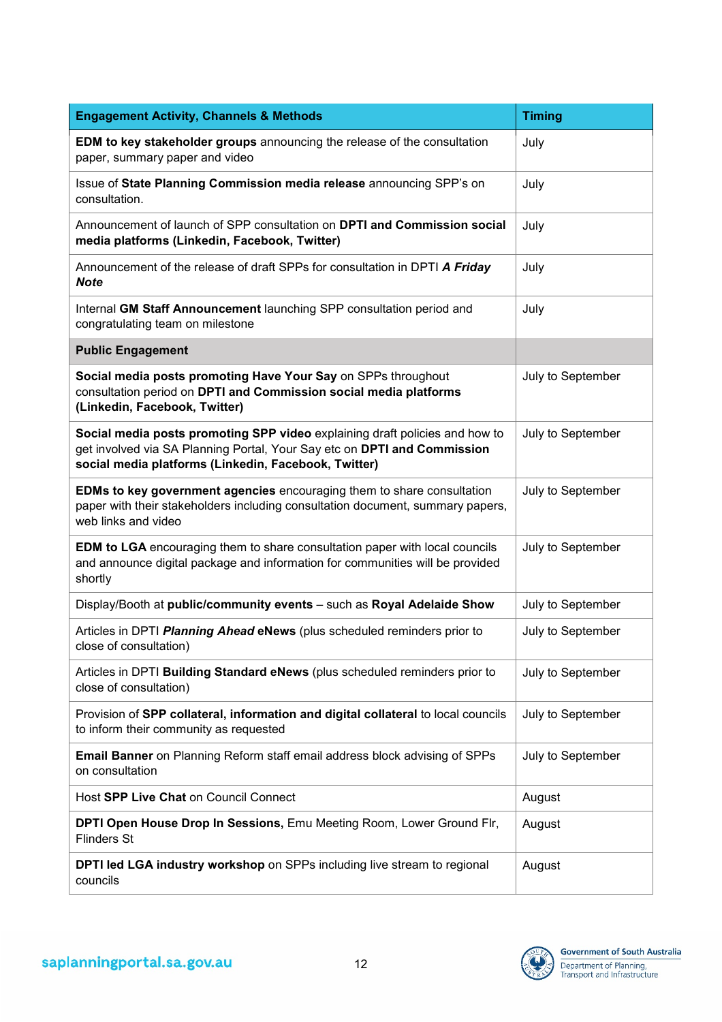| <b>Engagement Activity, Channels &amp; Methods</b>                                                                                                                                                              | <b>Timing</b>     |  |
|-----------------------------------------------------------------------------------------------------------------------------------------------------------------------------------------------------------------|-------------------|--|
| EDM to key stakeholder groups announcing the release of the consultation<br>paper, summary paper and video                                                                                                      | July              |  |
| Issue of State Planning Commission media release announcing SPP's on<br>consultation.                                                                                                                           | July              |  |
| Announcement of launch of SPP consultation on DPTI and Commission social<br>media platforms (Linkedin, Facebook, Twitter)                                                                                       | July              |  |
| Announcement of the release of draft SPPs for consultation in DPTI A Friday<br><b>Note</b>                                                                                                                      | July              |  |
| Internal GM Staff Announcement launching SPP consultation period and<br>congratulating team on milestone                                                                                                        | July              |  |
| <b>Public Engagement</b>                                                                                                                                                                                        |                   |  |
| Social media posts promoting Have Your Say on SPPs throughout<br>consultation period on DPTI and Commission social media platforms<br>(Linkedin, Facebook, Twitter)                                             | July to September |  |
| Social media posts promoting SPP video explaining draft policies and how to<br>get involved via SA Planning Portal, Your Say etc on DPTI and Commission<br>social media platforms (Linkedin, Facebook, Twitter) | July to September |  |
| EDMs to key government agencies encouraging them to share consultation<br>paper with their stakeholders including consultation document, summary papers,<br>web links and video                                 | July to September |  |
| <b>EDM to LGA</b> encouraging them to share consultation paper with local councils<br>and announce digital package and information for communities will be provided<br>shortly                                  | July to September |  |
| Display/Booth at public/community events - such as Royal Adelaide Show                                                                                                                                          | July to September |  |
| Articles in DPTI Planning Ahead eNews (plus scheduled reminders prior to<br>close of consultation)                                                                                                              | July to September |  |
| Articles in DPTI Building Standard eNews (plus scheduled reminders prior to<br>close of consultation)                                                                                                           | July to September |  |
| Provision of SPP collateral, information and digital collateral to local councils<br>to inform their community as requested                                                                                     | July to September |  |
| <b>Email Banner</b> on Planning Reform staff email address block advising of SPPs<br>on consultation                                                                                                            | July to September |  |
| Host SPP Live Chat on Council Connect                                                                                                                                                                           | August            |  |
| DPTI Open House Drop In Sessions, Emu Meeting Room, Lower Ground Flr,<br><b>Flinders St</b>                                                                                                                     | August            |  |
| DPTI led LGA industry workshop on SPPs including live stream to regional<br>councils                                                                                                                            | August            |  |